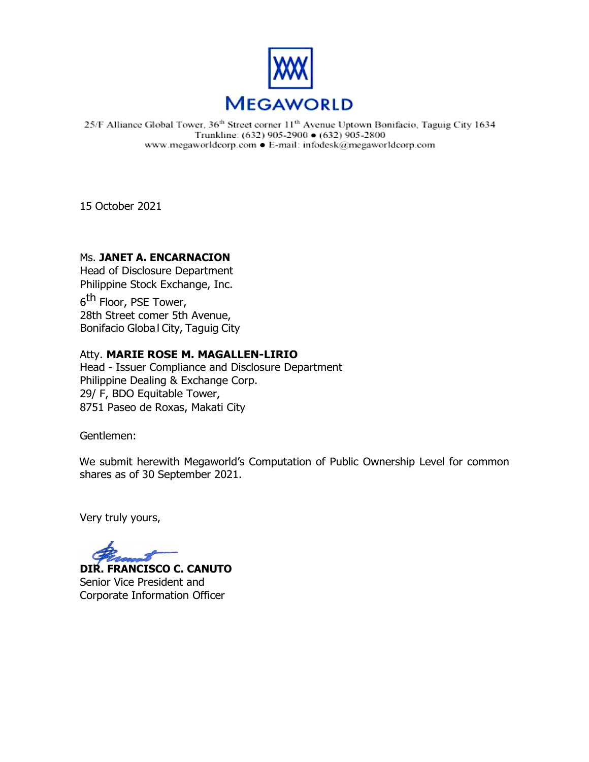

25/F Alliance Global Tower, 36<sup>th</sup> Street corner 11<sup>th</sup> Avenue Uptown Bonifacio, Taguig City 1634 Trunkline: (632) 905-2900 ● (632) 905-2800 www.megaworldcorp.com . E-mail: infodesk@megaworldcorp.com

15 October 2021

# Ms. **JANET A. ENCARNACION**

Head of Disclosure Department Philippine Stock Exchange, Inc.

6<sup>th</sup> Floor, PSE Tower, 28th Street comer 5th Avenue, Bonifacio Globa l City, Taguig City

# Atty. **MARIE ROSE M. MAGALLEN-LIRIO**

Head - Issuer Compliance and Disclosure Department Philippine Dealing & Exchange Corp. 29/ F, BDO Equitable Tower, 8751 Paseo de Roxas, Makati City

Gentlemen:

We submit herewith Megaworld's Computation of Public Ownership Level for common shares as of 30 September 2021.

Very truly yours,

**DIR. FRANCISCO C. CANUTO**

Senior Vice President and Corporate Information Officer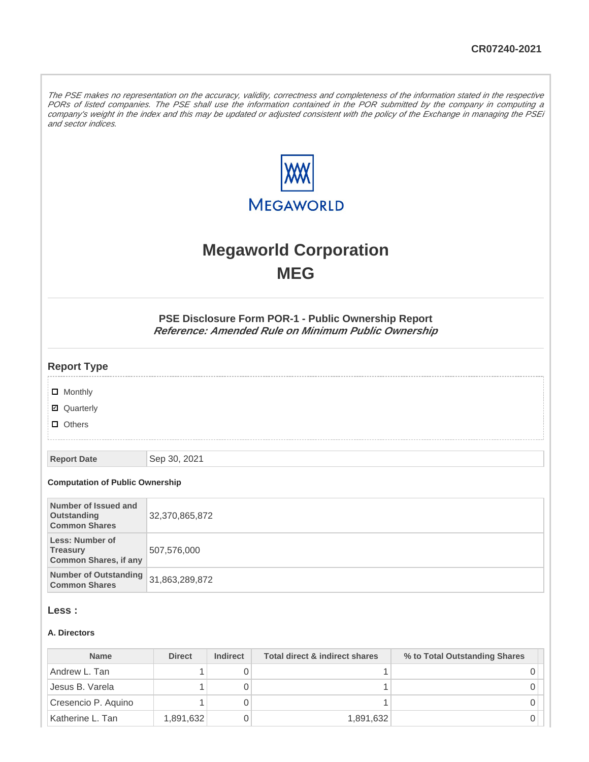The PSE makes no representation on the accuracy, validity, correctness and completeness of the information stated in the respective PORs of listed companies. The PSE shall use the information contained in the POR submitted by the company in computing a company's weight in the index and this may be updated or adjusted consistent with the policy of the Exchange in managing the PSEi and sector indices.



# **Megaworld Corporation MEG**

**PSE Disclosure Form POR-1 - Public Ownership Report Reference: Amended Rule on Minimum Public Ownership**

### **Report Type**

**D** Monthly

■ Quarterly

**D** Others

**Report Date** Sep 30, 2021

#### **Computation of Public Ownership**

| Number of Issued and<br>Outstanding<br><b>Common Shares</b>               | 32,370,865,872 |
|---------------------------------------------------------------------------|----------------|
| <b>Less: Number of</b><br><b>Treasury</b><br><b>Common Shares, if any</b> | 507,576,000    |
| Number of Outstanding 31,863,289,872<br><b>Common Shares</b>              |                |

## **Less :**

#### **A. Directors**

| <b>Name</b>         | <b>Direct</b> | <b>Indirect</b> | Total direct & indirect shares | % to Total Outstanding Shares |
|---------------------|---------------|-----------------|--------------------------------|-------------------------------|
| Andrew L. Tan       |               |                 |                                |                               |
| Jesus B. Varela     |               |                 |                                |                               |
| Cresencio P. Aquino |               |                 |                                |                               |
| Katherine L. Tan    | 1,891,632     |                 | 1,891,632                      |                               |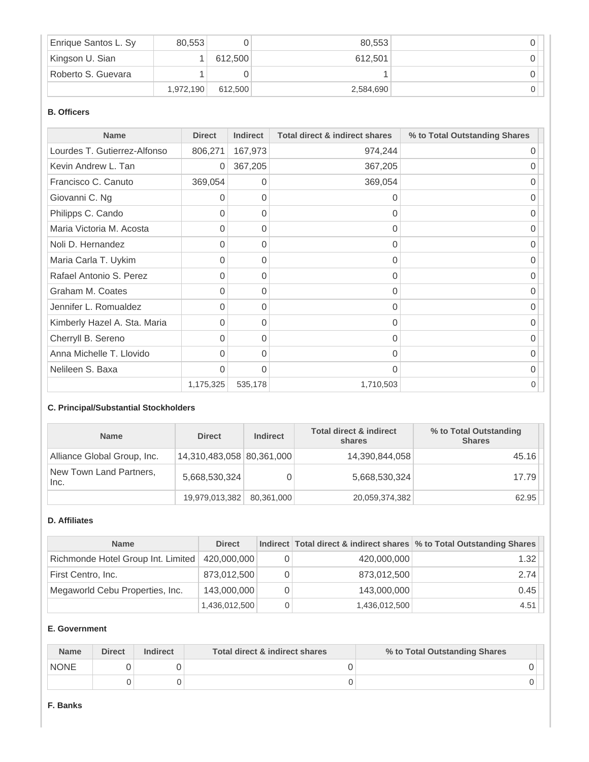| Enrique Santos L. Sy | 80,553    |         | 80.553    |  |
|----------------------|-----------|---------|-----------|--|
| Kingson U. Sian      |           | 612.500 | 612.501   |  |
| Roberto S. Guevara   |           |         |           |  |
|                      | 1,972,190 | 612.500 | 2,584,690 |  |

## **B. Officers**

| <b>Name</b>                  | <b>Direct</b> | <b>Indirect</b> | <b>Total direct &amp; indirect shares</b> | % to Total Outstanding Shares |
|------------------------------|---------------|-----------------|-------------------------------------------|-------------------------------|
| Lourdes T. Gutierrez-Alfonso | 806,271       | 167,973         | 974,244                                   | 0                             |
| Kevin Andrew L. Tan          | 0             | 367,205         | 367,205                                   |                               |
| Francisco C. Canuto          | 369,054       | 0               | 369,054                                   | 0                             |
| Giovanni C. Ng               | 0             | 0               | 0                                         | 0                             |
| Philipps C. Cando            | 0             | 0               | 0                                         | 0                             |
| Maria Victoria M. Acosta     | 0             | 0               | 0                                         | 0                             |
| Noli D. Hernandez            | 0             | $\Omega$        | $\Omega$                                  | 0                             |
| Maria Carla T. Uykim         | 0             | 0               | 0                                         | 0                             |
| Rafael Antonio S. Perez      | 0             | 0               | $\mathbf 0$                               | 0                             |
| Graham M. Coates             | 0             | 0               | 0                                         | 0                             |
| Jennifer L. Romualdez        | $\Omega$      | 0               | $\Omega$                                  | 0                             |
| Kimberly Hazel A. Sta. Maria | $\Omega$      | $\Omega$        | $\Omega$                                  | O                             |
| Cherryll B. Sereno           | 0             | 0               | 0                                         | 0                             |
| Anna Michelle T. Llovido     | 0             | 0               | $\Omega$                                  | 0                             |
| Nelileen S. Baxa             | $\Omega$      | $\Omega$        | $\Omega$                                  | 0                             |
|                              | 1,175,325     | 535,178         | 1,710,503                                 | 0                             |

## **C. Principal/Substantial Stockholders**

| <b>Name</b>                     | <b>Direct</b>             | <b>Indirect</b> | <b>Total direct &amp; indirect</b><br>shares | % to Total Outstanding<br><b>Shares</b> |
|---------------------------------|---------------------------|-----------------|----------------------------------------------|-----------------------------------------|
| Alliance Global Group, Inc.     | 14,310,483,058 80,361,000 |                 | 14,390,844,058                               | 45.16                                   |
| New Town Land Partners,<br>Inc. | 5,668,530,324             | 0               | 5,668,530,324                                | 17.79                                   |
|                                 | 19,979,013,382            | 80,361,000      | 20,059,374,382                               | 62.95                                   |

#### **D. Affiliates**

| <b>Name</b>                        | <b>Direct</b> |   |               | Indirect Total direct & indirect shares \% to Total Outstanding Shares |
|------------------------------------|---------------|---|---------------|------------------------------------------------------------------------|
| Richmonde Hotel Group Int. Limited | 420,000,000   |   | 420,000,000   | 1.32                                                                   |
| First Centro, Inc.                 | 873,012,500   | 0 | 873,012,500   | 2.74                                                                   |
| Megaworld Cebu Properties, Inc.    | 143,000,000   | 0 | 143,000,000   | 0.45                                                                   |
|                                    | 1,436,012,500 | 0 | 1,436,012,500 | 4.51                                                                   |

## **E. Government**

| <b>Name</b> | <b>Direct</b> | <b>Indirect</b> | Total direct & indirect shares | % to Total Outstanding Shares |  |
|-------------|---------------|-----------------|--------------------------------|-------------------------------|--|
| <b>NONE</b> |               |                 |                                |                               |  |
|             |               |                 |                                |                               |  |

#### **F. Banks**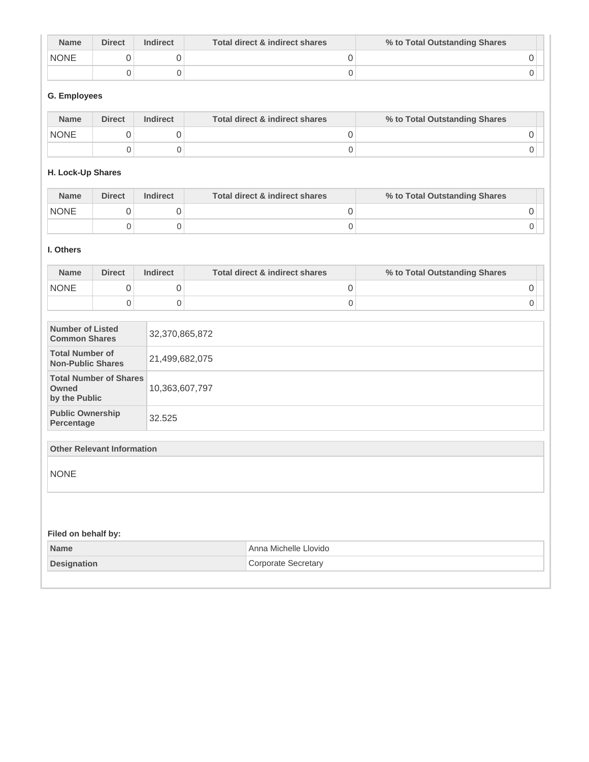| <b>Name</b> | <b>Direct</b> | <b>Indirect</b> | Total direct & indirect shares | % to Total Outstanding Shares |
|-------------|---------------|-----------------|--------------------------------|-------------------------------|
| <b>NONE</b> |               |                 |                                |                               |
|             |               |                 |                                |                               |

# **G. Employees**

| <b>Name</b> | <b>Direct</b> | <b>Indirect</b> | Total direct & indirect shares | % to Total Outstanding Shares |  |
|-------------|---------------|-----------------|--------------------------------|-------------------------------|--|
| <b>NONE</b> |               |                 |                                |                               |  |
|             |               |                 |                                |                               |  |

# **H. Lock-Up Shares**

| <b>Name</b> | <b>Direct</b> | <b>Indirect</b> | Total direct & indirect shares | % to Total Outstanding Shares |
|-------------|---------------|-----------------|--------------------------------|-------------------------------|
| <b>NONE</b> |               |                 |                                |                               |
|             |               |                 |                                |                               |

#### **I. Others**

|                                                    |                     |                                                                    | % to Total Outstanding Shares                      |  |  |  |
|----------------------------------------------------|---------------------|--------------------------------------------------------------------|----------------------------------------------------|--|--|--|
| 0                                                  | 0                   | $\boldsymbol{0}$                                                   | $\mathbf 0$                                        |  |  |  |
| $\overline{0}$                                     | $\mathbf 0$         | 0                                                                  | 0                                                  |  |  |  |
| <b>Number of Listed</b><br><b>Common Shares</b>    |                     |                                                                    |                                                    |  |  |  |
| <b>Total Number of</b><br><b>Non-Public Shares</b> |                     |                                                                    |                                                    |  |  |  |
| by the Public                                      |                     |                                                                    |                                                    |  |  |  |
| <b>Public Ownership</b>                            | 32.525              |                                                                    |                                                    |  |  |  |
|                                                    |                     |                                                                    |                                                    |  |  |  |
|                                                    |                     |                                                                    |                                                    |  |  |  |
|                                                    |                     |                                                                    |                                                    |  |  |  |
|                                                    |                     |                                                                    |                                                    |  |  |  |
|                                                    |                     | Anna Michelle Llovido                                              |                                                    |  |  |  |
| <b>Designation</b>                                 |                     | <b>Corporate Secretary</b>                                         |                                                    |  |  |  |
|                                                    | Filed on behalf by: | <b>Total Number of Shares</b><br><b>Other Relevant Information</b> | 32,370,865,872<br>21,499,682,075<br>10,363,607,797 |  |  |  |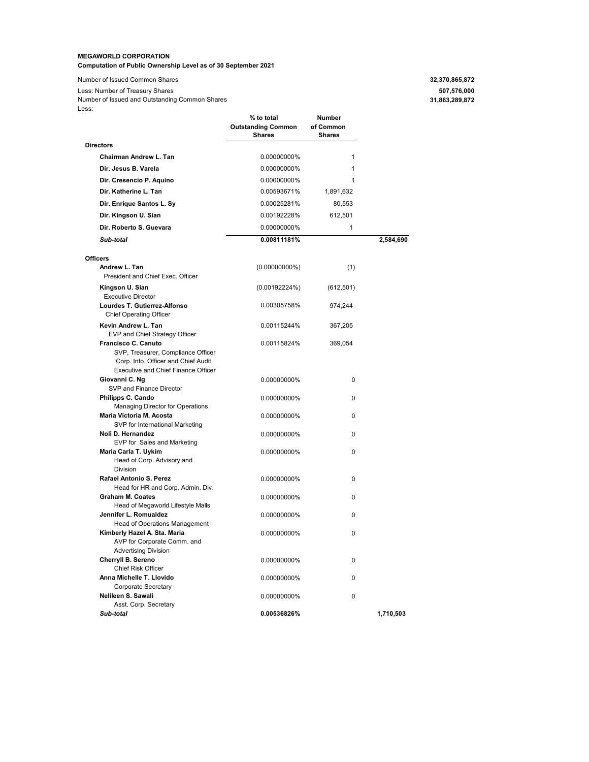#### **MEGAWORLD CORPORATION Computation of Public Ownership Level as of 30 September 2021**

Number of Issued Common Shares **32,37** Less: Number of Treasury Shares Less: Number of Issued and Outstanding Common Shares

| 32,370,865,872 |  |
|----------------|--|
| 507,576,000    |  |
| 31,863,289,872 |  |

| ∟∪∪.                                                                                                                                           | % to total<br><b>Outstanding Common</b><br><b>Shares</b> | Number<br>of Common<br><b>Shares</b> |           |
|------------------------------------------------------------------------------------------------------------------------------------------------|----------------------------------------------------------|--------------------------------------|-----------|
| <b>Directors</b>                                                                                                                               |                                                          |                                      |           |
| <b>Chairman Andrew L. Tan</b>                                                                                                                  | 0.00000000%                                              | 1                                    |           |
| Dir. Jesus B. Varela                                                                                                                           | 0.00000000%                                              | 1                                    |           |
| Dir. Cresencio P. Aquino                                                                                                                       | 0.00000000%                                              | 1                                    |           |
|                                                                                                                                                |                                                          |                                      |           |
| Dir. Katherine L. Tan                                                                                                                          | 0.00593671%                                              | 1,891,632                            |           |
| Dir. Enrique Santos L. Sy                                                                                                                      | 0.00025281%                                              | 80,553                               |           |
| Dir. Kingson U. Sian                                                                                                                           | 0.00192228%                                              | 612,501                              |           |
| Dir. Roberto S. Guevara                                                                                                                        | 0.00000000%                                              | 1                                    |           |
| Sub-total                                                                                                                                      | 0.00811181%                                              |                                      | 2,584,690 |
| <b>Officers</b>                                                                                                                                |                                                          |                                      |           |
| Andrew L. Tan<br>President and Chief Exec. Officer                                                                                             | $(0.00000000\%)$                                         | (1)                                  |           |
| Kingson U. Sian<br><b>Executive Director</b>                                                                                                   | (0.00192224%)                                            | (612, 501)                           |           |
| Lourdes T. Gutierrez-Alfonso<br><b>Chief Operating Officer</b>                                                                                 | 0.00305758%                                              | 974,244                              |           |
| Kevin Andrew L. Tan                                                                                                                            | 0.00115244%                                              | 367,205                              |           |
| EVP and Chief Strategy Officer                                                                                                                 | 0.00115824%                                              |                                      |           |
| Francisco C. Canuto<br>SVP, Treasurer, Compliance Officer<br>Corp. Info. Officer and Chief Audit<br><b>Executive and Chief Finance Officer</b> |                                                          | 369,054                              |           |
| Giovanni C. Ng<br>SVP and Finance Director                                                                                                     | 0.00000000%                                              | 0                                    |           |
| Philipps C. Cando<br>Managing Director for Operations                                                                                          | 0.00000000%                                              | 0                                    |           |
| Maria Victoria M. Acosta<br>SVP for International Marketing                                                                                    | 0.00000000%                                              | 0                                    |           |
| Noli D. Hernandez<br>EVP for Sales and Marketing                                                                                               | 0.00000000%                                              | 0                                    |           |
| Maria Carla T. Uykim<br>Head of Corp. Advisory and<br>Division                                                                                 | 0.00000000%                                              | 0                                    |           |
| Rafael Antonio S. Perez<br>Head for HR and Corp. Admin. Div.                                                                                   | 0.00000000%                                              | 0                                    |           |
| <b>Graham M. Coates</b><br>Head of Megaworld Lifestyle Malls                                                                                   | 0.00000000%                                              | 0                                    |           |
| Jennifer L. Romualdez<br>Head of Operations Management                                                                                         | 0.00000000%                                              | 0                                    |           |
| Kimberly Hazel A. Sta. Maria<br>AVP for Corporate Comm. and<br><b>Advertising Division</b>                                                     | 0.00000000%                                              | 0                                    |           |
| Cherryll B. Sereno<br>Chief Risk Officer                                                                                                       | 0.00000000%                                              | 0                                    |           |
| Anna Michelle T. Llovido<br><b>Corporate Secretary</b>                                                                                         | 0.00000000%                                              | 0                                    |           |
| Nelileen S. Sawali<br>Asst. Corp. Secretary                                                                                                    | 0.00000000%                                              | 0                                    |           |
| Sub-total                                                                                                                                      | 0.00536826%                                              |                                      | 1,710,503 |